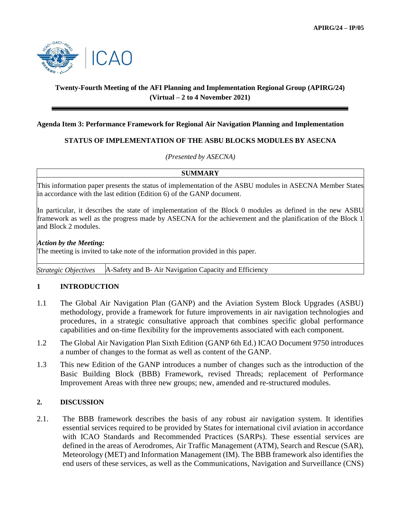

# **Twenty-Fourth Meeting of the AFI Planning and Implementation Regional Group (APIRG/24) (Virtual – 2 to 4 November 2021)**

#### **Agenda Item 3: Performance Framework for Regional Air Navigation Planning and Implementation**

## **STATUS OF IMPLEMENTATION OF THE ASBU BLOCKS MODULES BY ASECNA**

*(Presented by ASECNA)*

## **SUMMARY**

This information paper presents the status of implementation of the ASBU modules in ASECNA Member States in accordance with the last edition (Edition 6) of the GANP document.

In particular, it describes the state of implementation of the Block 0 modules as defined in the new ASBU framework as well as the progress made by ASECNA for the achievement and the planification of the Block 1 and Block 2 modules.

#### *Action by the Meeting:*

The meeting is invited to take note of the information provided in this paper.

*Strategic Objectives* A-Safety and B- Air Navigation Capacity and Efficiency

#### **1 INTRODUCTION**

- 1.1 The Global Air Navigation Plan (GANP) and the Aviation System Block Upgrades (ASBU) methodology, provide a framework for future improvements in air navigation technologies and procedures, in a strategic consultative approach that combines specific global performance capabilities and on-time flexibility for the improvements associated with each component.
- 1.2 The Global Air Navigation Plan Sixth Edition (GANP 6th Ed.) ICAO Document 9750 introduces a number of changes to the format as well as content of the GANP.
- 1.3 This new Edition of the GANP introduces a number of changes such as the introduction of the Basic Building Block (BBB) Framework, revised Threads; replacement of Performance Improvement Areas with three new groups; new, amended and re-structured modules.

#### **2. DISCUSSION**

2.1. The BBB framework describes the basis of any robust air navigation system. It identifies essential services required to be provided by States for international civil aviation in accordance with ICAO Standards and Recommended Practices (SARPs). These essential services are defined in the areas of Aerodromes, Air Traffic Management (ATM), Search and Rescue (SAR), Meteorology (MET) and Information Management (IM). The BBB framework also identifies the end users of these services, as well as the Communications, Navigation and Surveillance (CNS)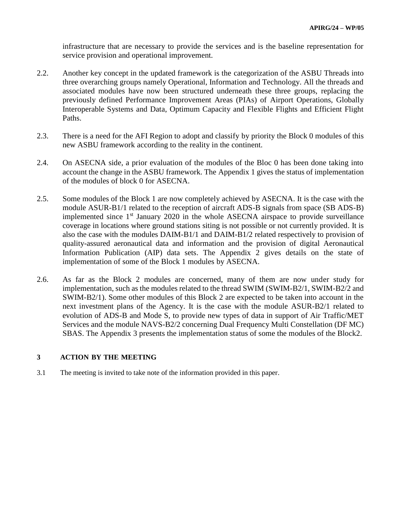infrastructure that are necessary to provide the services and is the baseline representation for service provision and operational improvement.

- 2.2. Another key concept in the updated framework is the categorization of the ASBU Threads into three overarching groups namely Operational, Information and Technology. All the threads and associated modules have now been structured underneath these three groups, replacing the previously defined Performance Improvement Areas (PIAs) of Airport Operations, Globally Interoperable Systems and Data, Optimum Capacity and Flexible Flights and Efficient Flight Paths.
- 2.3. There is a need for the AFI Region to adopt and classify by priority the Block 0 modules of this new ASBU framework according to the reality in the continent.
- 2.4. On ASECNA side, a prior evaluation of the modules of the Bloc 0 has been done taking into account the change in the ASBU framework. The Appendix 1 gives the status of implementation of the modules of block 0 for ASECNA.
- 2.5. Some modules of the Block 1 are now completely achieved by ASECNA. It is the case with the module ASUR-B1/1 related to the reception of aircraft ADS-B signals from space (SB ADS-B) implemented since  $1<sup>st</sup>$  January 2020 in the whole ASECNA airspace to provide surveillance coverage in locations where ground stations siting is not possible or not currently provided. It is also the case with the modules DAIM-B1/1 and DAIM-B1/2 related respectively to provision of quality-assured aeronautical data and information and the provision of digital Aeronautical Information Publication (AIP) data sets. The Appendix 2 gives details on the state of implementation of some of the Block 1 modules by ASECNA.
- 2.6. As far as the Block 2 modules are concerned, many of them are now under study for implementation, such as the modules related to the thread SWIM (SWIM-B2/1, SWIM-B2/2 and SWIM-B2/1). Some other modules of this Block 2 are expected to be taken into account in the next investment plans of the Agency. It is the case with the module ASUR-B2/1 related to evolution of ADS-B and Mode S, to provide new types of data in support of Air Traffic/MET Services and the module NAVS-B2/2 concerning Dual Frequency Multi Constellation (DF MC) SBAS. The Appendix 3 presents the implementation status of some the modules of the Block2.

#### **3 ACTION BY THE MEETING**

3.1 The meeting is invited to take note of the information provided in this paper.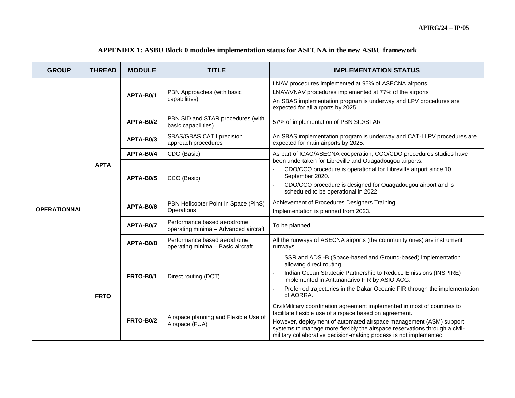| <b>GROUP</b>        | <b>THREAD</b> | <b>MODULE</b>    | <b>TITLE</b>                                                        | <b>IMPLEMENTATION STATUS</b>                                                                                                                                                                                                                                                                                                                                  |  |
|---------------------|---------------|------------------|---------------------------------------------------------------------|---------------------------------------------------------------------------------------------------------------------------------------------------------------------------------------------------------------------------------------------------------------------------------------------------------------------------------------------------------------|--|
|                     | <b>APTA</b>   | APTA-B0/1        | PBN Approaches (with basic<br>capabilities)                         | LNAV procedures implemented at 95% of ASECNA airports<br>LNAV/VNAV procedures implemented at 77% of the airports<br>An SBAS implementation program is underway and LPV procedures are<br>expected for all airports by 2025.                                                                                                                                   |  |
|                     |               | APTA-B0/2        | PBN SID and STAR procedures (with<br>basic capabilities)            | 57% of implementation of PBN SID/STAR                                                                                                                                                                                                                                                                                                                         |  |
|                     |               | APTA-B0/3        | SBAS/GBAS CAT I precision<br>approach procedures                    | An SBAS implementation program is underway and CAT-I LPV procedures are<br>expected for main airports by 2025.                                                                                                                                                                                                                                                |  |
|                     |               | APTA-B0/4        | CDO (Basic)                                                         | As part of ICAO/ASECNA cooperation, CCO/CDO procedures studies have                                                                                                                                                                                                                                                                                           |  |
| <b>OPERATIONNAL</b> |               | APTA-B0/5        | CCO (Basic)                                                         | been undertaken for Libreville and Ouagadougou airports:<br>CDO/CCO procedure is operational for Libreville airport since 10<br>September 2020.<br>CDO/CCO procedure is designed for Ouagadougou airport and is<br>scheduled to be operational in 2022                                                                                                        |  |
|                     |               | APTA-B0/6        | PBN Helicopter Point in Space (PinS)<br>Operations                  | Achievement of Procedures Designers Training.<br>Implementation is planned from 2023.                                                                                                                                                                                                                                                                         |  |
|                     |               | APTA-B0/7        | Performance based aerodrome<br>operating minima - Advanced aircraft | To be planned                                                                                                                                                                                                                                                                                                                                                 |  |
|                     |               | APTA-B0/8        | Performance based aerodrome<br>operating minima - Basic aircraft    | All the runways of ASECNA airports (the community ones) are instrument<br>runways.                                                                                                                                                                                                                                                                            |  |
|                     | <b>FRTO</b>   | <b>FRTO-B0/1</b> | Direct routing (DCT)                                                | SSR and ADS -B (Space-based and Ground-based) implementation<br>allowing direct routing<br>Indian Ocean Strategic Partnership to Reduce Emissions (INSPIRE)<br>implemented in Antananarivo FIR by ASIO ACG.<br>Preferred trajectories in the Dakar Oceanic FIR through the implementation<br>of AORRA.                                                        |  |
|                     |               | <b>FRTO-B0/2</b> | Airspace planning and Flexible Use of<br>Airspace (FUA)             | Civil/Military coordination agreement implemented in most of countries to<br>facilitate flexible use of airspace based on agreement.<br>However, deployment of automated airspace management (ASM) support<br>systems to manage more flexibly the airspace reservations through a civil-<br>military collaborative decision-making process is not implemented |  |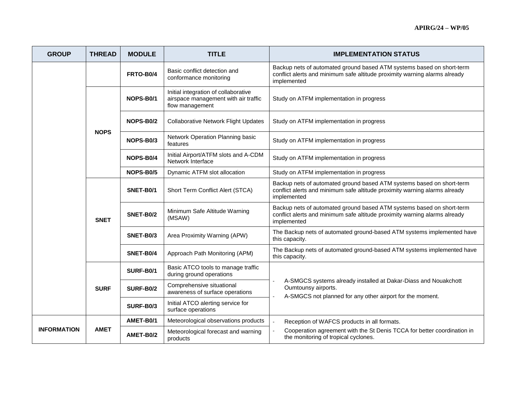| <b>GROUP</b>       | <b>THREAD</b> | <b>MODULE</b>    | <b>TITLE</b>                                                                                    | <b>IMPLEMENTATION STATUS</b>                                                                                                                                       |  |
|--------------------|---------------|------------------|-------------------------------------------------------------------------------------------------|--------------------------------------------------------------------------------------------------------------------------------------------------------------------|--|
|                    |               | <b>FRTO-B0/4</b> | Basic conflict detection and<br>conformance monitoring                                          | Backup nets of automated ground based ATM systems based on short-term<br>conflict alerts and minimum safe altitude proximity warning alarms already<br>implemented |  |
|                    | <b>NOPS</b>   | NOPS-B0/1        | Initial integration of collaborative<br>airspace management with air traffic<br>flow management | Study on ATFM implementation in progress                                                                                                                           |  |
|                    |               | NOPS-B0/2        | <b>Collaborative Network Flight Updates</b>                                                     | Study on ATFM implementation in progress                                                                                                                           |  |
|                    |               | NOPS-B0/3        | Network Operation Planning basic<br>features                                                    | Study on ATFM implementation in progress                                                                                                                           |  |
|                    |               | NOPS-B0/4        | Initial Airport/ATFM slots and A-CDM<br>Network Interface                                       | Study on ATFM implementation in progress                                                                                                                           |  |
|                    |               | NOPS-B0/5        | Dynamic ATFM slot allocation                                                                    | Study on ATFM implementation in progress                                                                                                                           |  |
|                    | <b>SNET</b>   | SNET-B0/1        | Short Term Conflict Alert (STCA)                                                                | Backup nets of automated ground based ATM systems based on short-term<br>conflict alerts and minimum safe altitude proximity warning alarms already<br>implemented |  |
|                    |               | <b>SNET-B0/2</b> | Minimum Safe Altitude Warning<br>(MSAW)                                                         | Backup nets of automated ground based ATM systems based on short-term<br>conflict alerts and minimum safe altitude proximity warning alarms already<br>implemented |  |
|                    |               | SNET-B0/3        | Area Proximity Warning (APW)                                                                    | The Backup nets of automated ground-based ATM systems implemented have<br>this capacity.                                                                           |  |
|                    |               | <b>SNET-B0/4</b> | Approach Path Monitoring (APM)                                                                  | The Backup nets of automated ground-based ATM systems implemented have<br>this capacity.                                                                           |  |
|                    | <b>SURF</b>   | <b>SURF-B0/1</b> | Basic ATCO tools to manage traffic<br>during ground operations                                  |                                                                                                                                                                    |  |
|                    |               | <b>SURF-B0/2</b> | Comprehensive situational<br>awareness of surface operations                                    | A-SMGCS systems already installed at Dakar-Diass and Nouakchott<br>Oumtounsy airports.<br>A-SMGCS not planned for any other airport for the moment.                |  |
|                    |               | SURF-B0/3        | Initial ATCO alerting service for<br>surface operations                                         |                                                                                                                                                                    |  |
|                    | <b>AMET</b>   | AMET-B0/1        | Meteorological observations products                                                            | Reception of WAFCS products in all formats.                                                                                                                        |  |
| <b>INFORMATION</b> |               | AMET-B0/2        | Meteorological forecast and warning<br>products                                                 | Cooperation agreement with the St Denis TCCA for better coordination in<br>the monitoring of tropical cyclones.                                                    |  |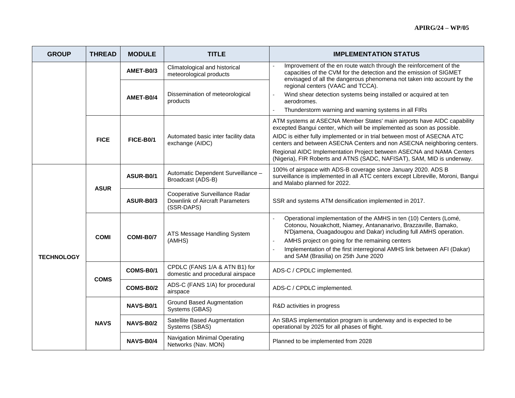| <b>GROUP</b>      | <b>THREAD</b> | <b>MODULE</b>    | <b>TITLE</b>                                                                    | <b>IMPLEMENTATION STATUS</b>                                                                                                                                                                                                                                                                                                                                                                                                                             |  |
|-------------------|---------------|------------------|---------------------------------------------------------------------------------|----------------------------------------------------------------------------------------------------------------------------------------------------------------------------------------------------------------------------------------------------------------------------------------------------------------------------------------------------------------------------------------------------------------------------------------------------------|--|
|                   |               | AMET-B0/3        | Climatological and historical<br>meteorological products                        | Improvement of the en route watch through the reinforcement of the<br>÷.<br>capacities of the CVM for the detection and the emission of SIGMET<br>envisaged of all the dangerous phenomena not taken into account by the                                                                                                                                                                                                                                 |  |
|                   |               | AMET-B0/4        | Dissemination of meteorological<br>products                                     | regional centers (VAAC and TCCA).<br>Wind shear detection systems being installed or acquired at ten<br>aerodromes.<br>Thunderstorm warning and warning systems in all FIRs<br>$\overline{\phantom{a}}$                                                                                                                                                                                                                                                  |  |
|                   | <b>FICE</b>   | <b>FICE-B0/1</b> | Automated basic inter facility data<br>exchange (AIDC)                          | ATM systems at ASECNA Member States' main airports have AIDC capability<br>excepted Bangui center, which will be implemented as soon as possible.<br>AIDC is either fully implemented or in trial between most of ASECNA ATC<br>centers and between ASECNA Centers and non ASECNA neighboring centers.<br>Regional AIDC Implementation Project between ASECNA and NAMA Centers<br>(Nigeria), FIR Roberts and ATNS (SADC, NAFISAT), SAM, MID is underway. |  |
| <b>TECHNOLOGY</b> | <b>ASUR</b>   | ASUR-B0/1        | Automatic Dependent Surveillance -<br>Broadcast (ADS-B)                         | 100% of airspace with ADS-B coverage since January 2020. ADS B<br>surveillance is implemented in all ATC centers except Libreville, Moroni, Bangui<br>and Malabo planned for 2022.                                                                                                                                                                                                                                                                       |  |
|                   |               | ASUR-B0/3        | Cooperative Surveillance Radar<br>Downlink of Aircraft Parameters<br>(SSR-DAPS) | SSR and systems ATM densification implemented in 2017.                                                                                                                                                                                                                                                                                                                                                                                                   |  |
|                   | <b>COMI</b>   | COMI-B0/7        | ATS Message Handling System<br>(AMHS)                                           | Operational implementation of the AMHS in ten (10) Centers (Lomé,<br>$\overline{\phantom{a}}$<br>Cotonou, Nouakchott, Niamey, Antananarivo, Brazzaville, Bamako,<br>N'Djamena, Ouagadougou and Dakar) including full AMHS operation.<br>AMHS project on going for the remaining centers<br>Implementation of the first interregional AMHS link between AFI (Dakar)<br>and SAM (Brasilia) on 25th June 2020                                               |  |
|                   | <b>COMS</b>   | COMS-B0/1        | CPDLC (FANS 1/A & ATN B1) for<br>domestic and procedural airspace               | ADS-C / CPDLC implemented.                                                                                                                                                                                                                                                                                                                                                                                                                               |  |
|                   |               | COMS-B0/2        | ADS-C (FANS 1/A) for procedural<br>airspace                                     | ADS-C / CPDLC implemented.                                                                                                                                                                                                                                                                                                                                                                                                                               |  |
|                   | <b>NAVS</b>   | NAVS-B0/1        | <b>Ground Based Augmentation</b><br>Systems (GBAS)                              | R&D activities in progress                                                                                                                                                                                                                                                                                                                                                                                                                               |  |
|                   |               | NAVS-B0/2        | Satellite Based Augmentation<br>Systems (SBAS)                                  | An SBAS implementation program is underway and is expected to be<br>operational by 2025 for all phases of flight.                                                                                                                                                                                                                                                                                                                                        |  |
|                   |               | <b>NAVS-B0/4</b> | Navigation Minimal Operating<br>Networks (Nav. MON)                             | Planned to be implemented from 2028                                                                                                                                                                                                                                                                                                                                                                                                                      |  |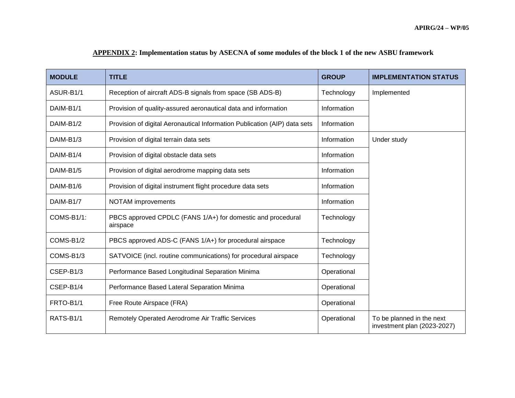| <b>MODULE</b>          | <b>TITLE</b>                                                              | <b>GROUP</b> | <b>IMPLEMENTATION STATUS</b>                             |
|------------------------|---------------------------------------------------------------------------|--------------|----------------------------------------------------------|
| ASUR-B1/1              | Reception of aircraft ADS-B signals from space (SB ADS-B)                 | Technology   | Implemented                                              |
| DAIM-B <sub>1</sub> /1 | Provision of quality-assured aeronautical data and information            | Information  |                                                          |
| DAIM-B <sub>1</sub> /2 | Provision of digital Aeronautical Information Publication (AIP) data sets | Information  |                                                          |
| DAIM-B1/3              | Provision of digital terrain data sets                                    | Information  | Under study                                              |
| DAIM-B1/4              | Provision of digital obstacle data sets                                   | Information  |                                                          |
| DAIM-B1/5              | Provision of digital aerodrome mapping data sets                          | Information  |                                                          |
| DAIM-B1/6              | Provision of digital instrument flight procedure data sets                | Information  |                                                          |
| DAIM-B1/7              | NOTAM improvements                                                        | Information  |                                                          |
| COMS-B1/1:             | PBCS approved CPDLC (FANS 1/A+) for domestic and procedural<br>airspace   | Technology   |                                                          |
| COMS-B1/2              | PBCS approved ADS-C (FANS 1/A+) for procedural airspace                   | Technology   |                                                          |
| COMS-B1/3              | SATVOICE (incl. routine communications) for procedural airspace           | Technology   |                                                          |
| CSEP-B1/3              | Performance Based Longitudinal Separation Minima                          | Operational  |                                                          |
| CSEP-B1/4              | Performance Based Lateral Separation Minima                               | Operational  |                                                          |
| FRTO-B1/1              | Free Route Airspace (FRA)                                                 | Operational  |                                                          |
| RATS-B <sub>1</sub> /1 | Remotely Operated Aerodrome Air Traffic Services                          | Operational  | To be planned in the next<br>investment plan (2023-2027) |